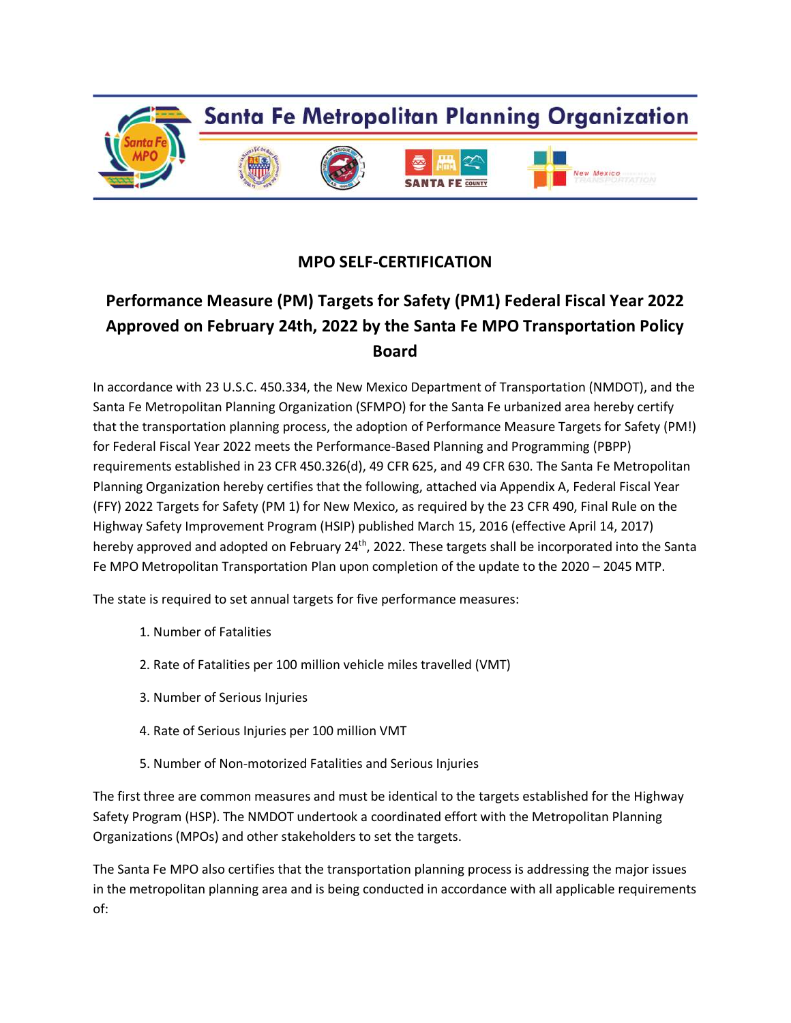

## **MPO SELF-CERTIFICATION**

# **Performance Measure (PM) Targets for Safety (PM1) Federal Fiscal Year 2022 Approved on February 24th, 2022 by the Santa Fe MPO Transportation Policy Board**

In accordance with 23 U.S.C. 450.334, the New Mexico Department of Transportation (NMDOT), and the Santa Fe Metropolitan Planning Organization (SFMPO) for the Santa Fe urbanized area hereby certify that the transportation planning process, the adoption of Performance Measure Targets for Safety (PM!) for Federal Fiscal Year 2022 meets the Performance-Based Planning and Programming (PBPP) requirements established in 23 CFR 450.326(d), 49 CFR 625, and 49 CFR 630. The Santa Fe Metropolitan Planning Organization hereby certifies that the following, attached via Appendix A, Federal Fiscal Year (FFY) 2022 Targets for Safety (PM 1) for New Mexico, as required by the 23 CFR 490, Final Rule on the Highway Safety Improvement Program (HSIP) published March 15, 2016 (effective April 14, 2017) hereby approved and adopted on February 24<sup>th</sup>, 2022. These targets shall be incorporated into the Santa Fe MPO Metropolitan Transportation Plan upon completion of the update to the 2020 – 2045 MTP.

The state is required to set annual targets for five performance measures:

- 1. Number of Fatalities
- 2. Rate of Fatalities per 100 million vehicle miles travelled (VMT)
- 3. Number of Serious Injuries
- 4. Rate of Serious Injuries per 100 million VMT
- 5. Number of Non-motorized Fatalities and Serious Injuries

The first three are common measures and must be identical to the targets established for the Highway Safety Program (HSP). The NMDOT undertook a coordinated effort with the Metropolitan Planning Organizations (MPOs) and other stakeholders to set the targets.

The Santa Fe MPO also certifies that the transportation planning process is addressing the major issues in the metropolitan planning area and is being conducted in accordance with all applicable requirements of: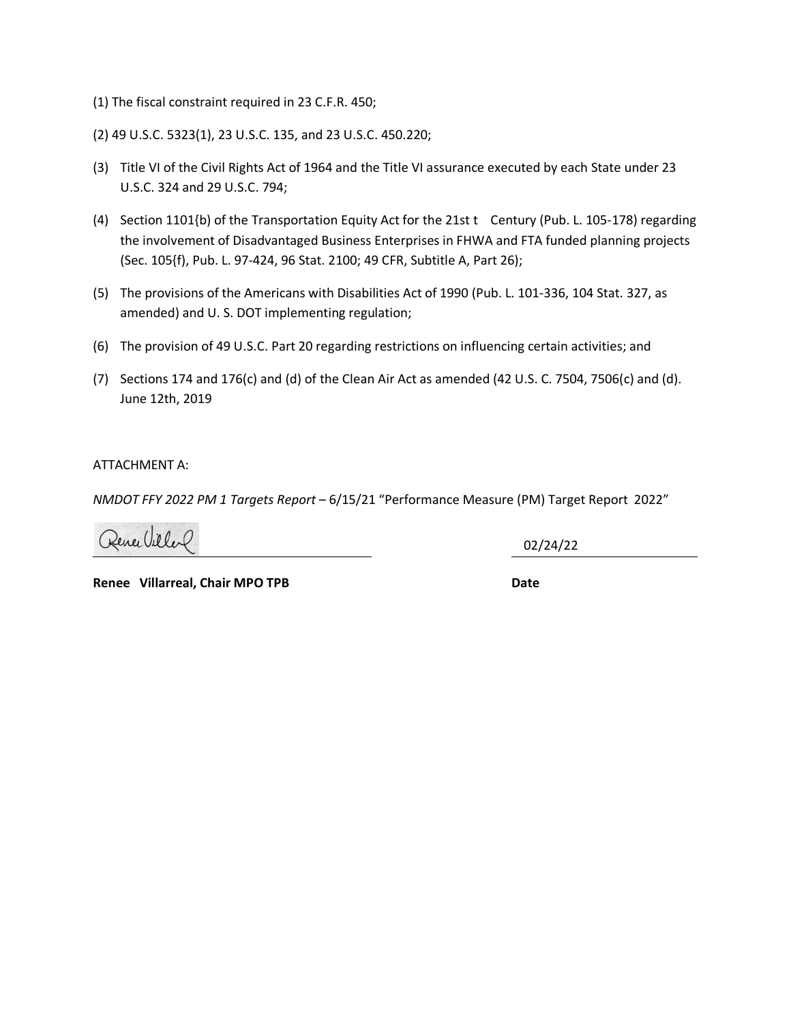- (1) The fiscal constraint required in 23 C.F.R. 450;
- (2) 49 U.S.C. 5323(1), 23 U.S.C. 135, and 23 U.S.C. 450.220;
- (3) Title VI of the Civil Rights Act of 1964 and the Title VI assurance executed by each State under 23 U.S.C. 324 and 29 U.S.C. 794;
- (4) Section 1101{b) of the Transportation Equity Act for the 21st t Century (Pub. L. 105-178) regarding the involvement of Disadvantaged Business Enterprises in FHWA and FTA funded planning projects (Sec. 105{f), Pub. L. 97-424, 96 Stat. 2100; 49 CFR, Subtitle A, Part 26);
- (5) The provisions of the Americans with Disabilities Act of 1990 (Pub. L. 101-336, 104 Stat. 327, as amended) and U. S. DOT implementing regulation;
- (6) The provision of 49 U.S.C. Part 20 regarding restrictions on influencing certain activities; and
- (7) Sections 174 and 176(c) and (d) of the Clean Air Act as amended (42 U.S. C. 7504, 7506(c) and (d). June 12th, 2019

ATTACHMENT A:

*NMDOT FFY 2022 PM 1 Targets Report* – 6/15/21 "Performance Measure (PM) Target Report 2022"

Renee Villal

02/24/22

**Renee Villarreal, Chair MPO TPB Date Construction Construction Case of Date**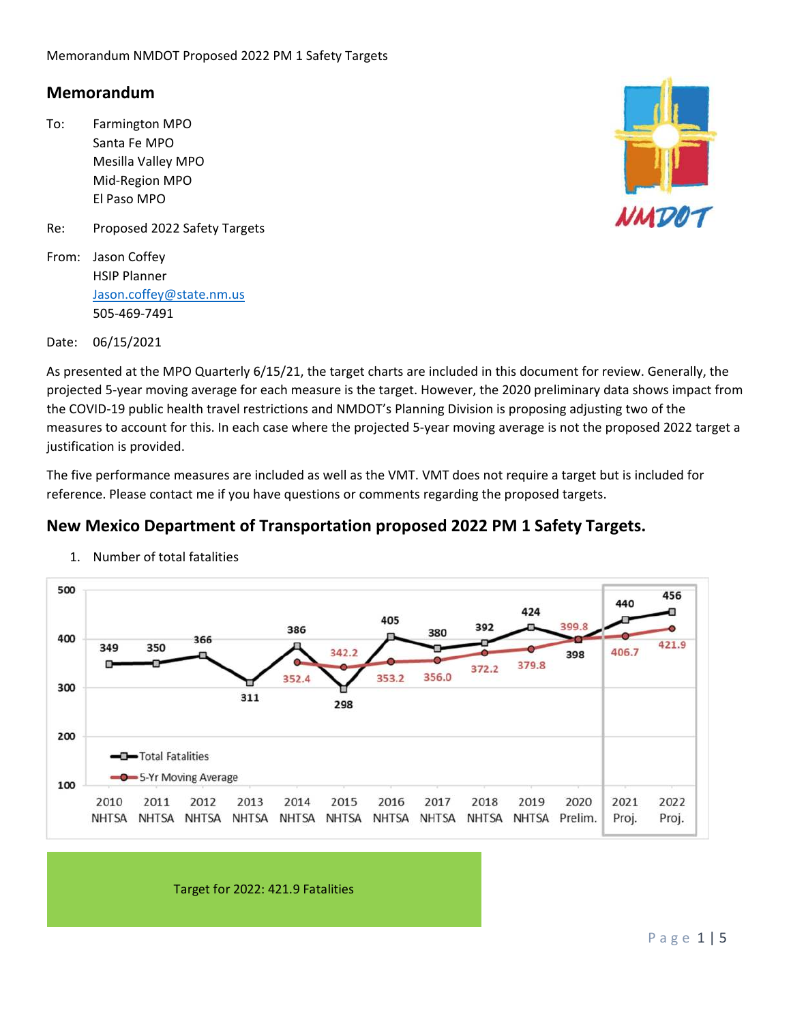### **Memorandum**

- To: Farmington MPO Santa Fe MPO Mesilla Valley MPO Mid‐Region MPO El Paso MPO
- Re: Proposed 2022 Safety Targets
- From: Jason Coffey HSIP Planner Jason.coffey@state.nm.us 505‐469‐7491



Date: 06/15/2021

As presented at the MPO Quarterly 6/15/21, the target charts are included in this document for review. Generally, the projected 5‐year moving average for each measure is the target. However, the 2020 preliminary data shows impact from the COVID‐19 public health travel restrictions and NMDOT's Planning Division is proposing adjusting two of the measures to account for this. In each case where the projected 5‐year moving average is not the proposed 2022 target a justification is provided.

The five performance measures are included as well as the VMT. VMT does not require a target but is included for reference. Please contact me if you have questions or comments regarding the proposed targets.

### **New Mexico Department of Transportation proposed 2022 PM 1 Safety Targets.**



1. Number of total fatalities

Target for 2022: 421.9 Fatalities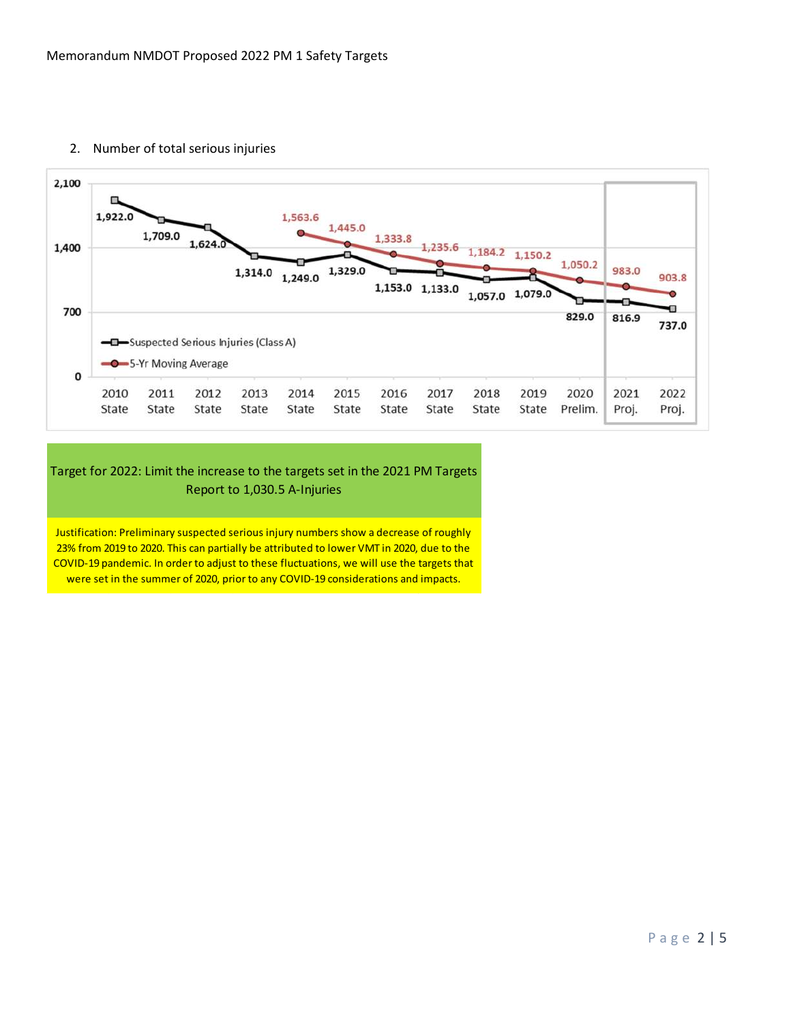

2. Number of total serious injuries

#### Target for 2022: Limit the increase to the targets set in the 2021 PM Targets Report to 1,030.5 A‐Injuries

Justification: Preliminary suspected serious injury numbers show a decrease of roughly 23% from 2019 to 2020. This can partially be attributed to lower VMT in 2020, due to the COVID‐19 pandemic. In order to adjust to these fluctuations, we will use the targets that were set in the summer of 2020, prior to any COVID-19 considerations and impacts.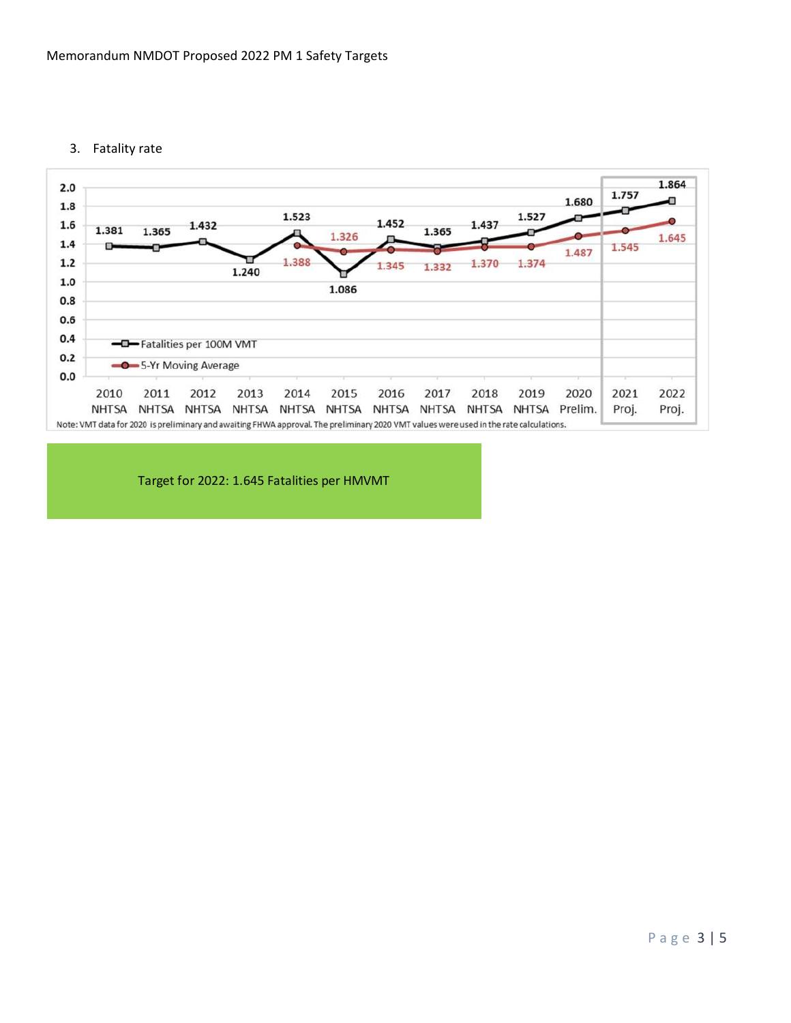3. Fatality rate



Target for 2022: 1.645 Fatalities per HMVMT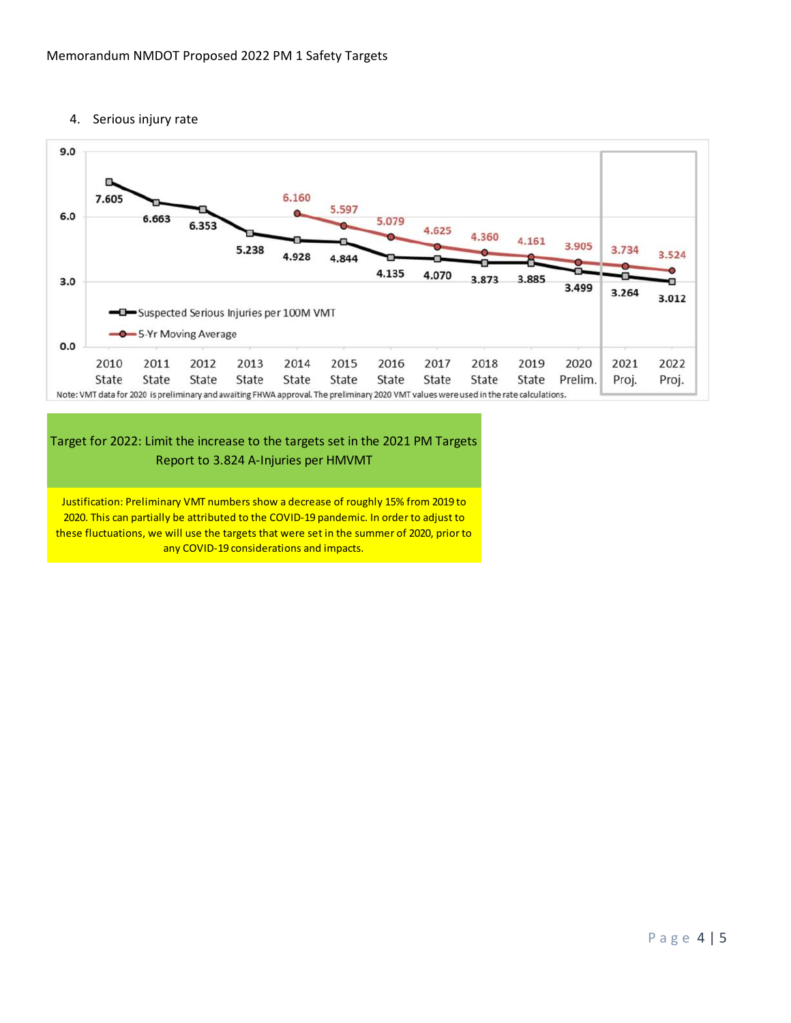4. Serious injury rate



#### Target for 2022: Limit the increase to the targets set in the 2021 PM Targets Report to 3.824 A‐Injuries per HMVMT

Justification: Preliminary VMT numbers show a decrease of roughly 15% from 2019 to 2020. This can partially be attributed to the COVID-19 pandemic. In order to adjust to these fluctuations, we will use the targets that were set in the summer of 2020, prior to any COVID-19 considerations and impacts.